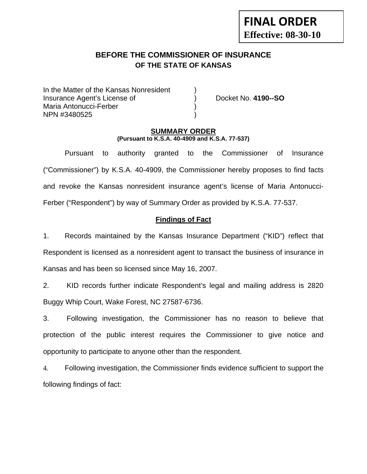# **BEFORE THE COMMISSIONER OF INSURANCE OF THE STATE OF KANSAS**

In the Matter of the Kansas Nonresident Insurance Agent's License of ) Docket No. **4190--SO** Maria Antonucci-Ferber ) NPN #3480525 )

#### **SUMMARY ORDER (Pursuant to K.S.A. 40-4909 and K.S.A. 77-537)**

 Pursuant to authority granted to the Commissioner of Insurance ("Commissioner") by K.S.A. 40-4909, the Commissioner hereby proposes to find facts and revoke the Kansas nonresident insurance agent's license of Maria Antonucci-Ferber ("Respondent") by way of Summary Order as provided by K.S.A. 77-537.

## **Findings of Fact**

1. Records maintained by the Kansas Insurance Department ("KID") reflect that Respondent is licensed as a nonresident agent to transact the business of insurance in Kansas and has been so licensed since May 16, 2007.

2. KID records further indicate Respondent's legal and mailing address is 2820 Buggy Whip Court, Wake Forest, NC 27587-6736.

3. Following investigation, the Commissioner has no reason to believe that protection of the public interest requires the Commissioner to give notice and opportunity to participate to anyone other than the respondent.

4. Following investigation, the Commissioner finds evidence sufficient to support the following findings of fact: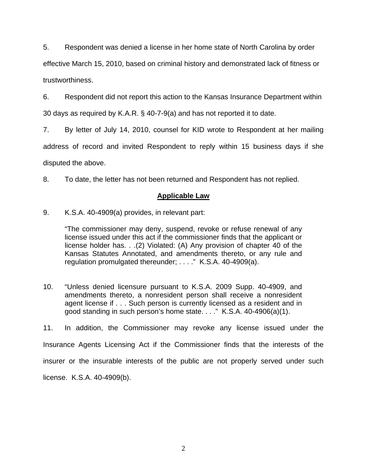5. Respondent was denied a license in her home state of North Carolina by order

effective March 15, 2010, based on criminal history and demonstrated lack of fitness or trustworthiness.

6. Respondent did not report this action to the Kansas Insurance Department within

30 days as required by K.A.R. § 40-7-9(a) and has not reported it to date.

7. By letter of July 14, 2010, counsel for KID wrote to Respondent at her mailing

address of record and invited Respondent to reply within 15 business days if she

disputed the above.

8. To date, the letter has not been returned and Respondent has not replied.

#### **Applicable Law**

9. K.S.A. 40-4909(a) provides, in relevant part:

"The commissioner may deny, suspend, revoke or refuse renewal of any license issued under this act if the commissioner finds that the applicant or license holder has. . .(2) Violated: (A) Any provision of chapter 40 of the Kansas Statutes Annotated, and amendments thereto, or any rule and regulation promulgated thereunder; . . . ." K.S.A. 40-4909(a).

10. "Unless denied licensure pursuant to K.S.A. 2009 Supp. 40-4909, and amendments thereto, a nonresident person shall receive a nonresident agent license if . . . Such person is currently licensed as a resident and in good standing in such person's home state. . . ." K.S.A. 40-4906(a)(1).

11. In addition, the Commissioner may revoke any license issued under the Insurance Agents Licensing Act if the Commissioner finds that the interests of the insurer or the insurable interests of the public are not properly served under such license. K.S.A. 40-4909(b).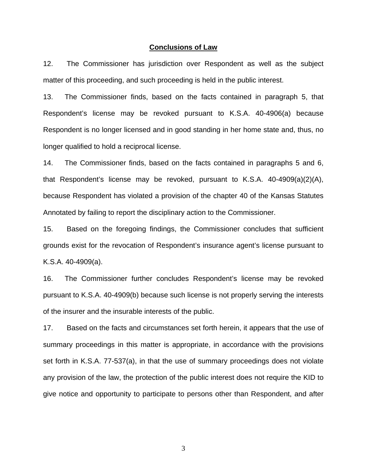#### **Conclusions of Law**

12. The Commissioner has jurisdiction over Respondent as well as the subject matter of this proceeding, and such proceeding is held in the public interest.

13. The Commissioner finds, based on the facts contained in paragraph 5, that Respondent's license may be revoked pursuant to K.S.A. 40-4906(a) because Respondent is no longer licensed and in good standing in her home state and, thus, no longer qualified to hold a reciprocal license.

14. The Commissioner finds, based on the facts contained in paragraphs 5 and 6, that Respondent's license may be revoked, pursuant to K.S.A. 40-4909(a)(2)(A), because Respondent has violated a provision of the chapter 40 of the Kansas Statutes Annotated by failing to report the disciplinary action to the Commissioner.

15. Based on the foregoing findings, the Commissioner concludes that sufficient grounds exist for the revocation of Respondent's insurance agent's license pursuant to K.S.A. 40-4909(a).

16. The Commissioner further concludes Respondent's license may be revoked pursuant to K.S.A. 40-4909(b) because such license is not properly serving the interests of the insurer and the insurable interests of the public.

17. Based on the facts and circumstances set forth herein, it appears that the use of summary proceedings in this matter is appropriate, in accordance with the provisions set forth in K.S.A. 77-537(a), in that the use of summary proceedings does not violate any provision of the law, the protection of the public interest does not require the KID to give notice and opportunity to participate to persons other than Respondent, and after

3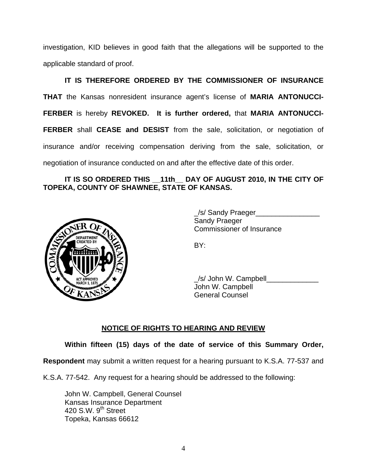investigation, KID believes in good faith that the allegations will be supported to the applicable standard of proof.

 **IT IS THEREFORE ORDERED BY THE COMMISSIONER OF INSURANCE THAT** the Kansas nonresident insurance agent's license of **MARIA ANTONUCCI-FERBER** is hereby **REVOKED. It is further ordered,** that **MARIA ANTONUCCI-FERBER** shall **CEASE and DESIST** from the sale, solicitation, or negotiation of insurance and/or receiving compensation deriving from the sale, solicitation, or negotiation of insurance conducted on and after the effective date of this order.

## IT IS SO ORDERED THIS 11th DAY OF AUGUST 2010, IN THE CITY OF **TOPEKA, COUNTY OF SHAWNEE, STATE OF KANSAS.**



/s/ Sandy Praeger Sandy Praeger Commissioner of Insurance

/s/ John W. Campbell John W. Campbell General Counsel

# **NOTICE OF RIGHTS TO HEARING AND REVIEW**

**Within fifteen (15) days of the date of service of this Summary Order,** 

**Respondent** may submit a written request for a hearing pursuant to K.S.A. 77-537 and

K.S.A. 77-542. Any request for a hearing should be addressed to the following:

 John W. Campbell, General Counsel Kansas Insurance Department 420 S.W.  $9<sup>th</sup>$  Street Topeka, Kansas 66612